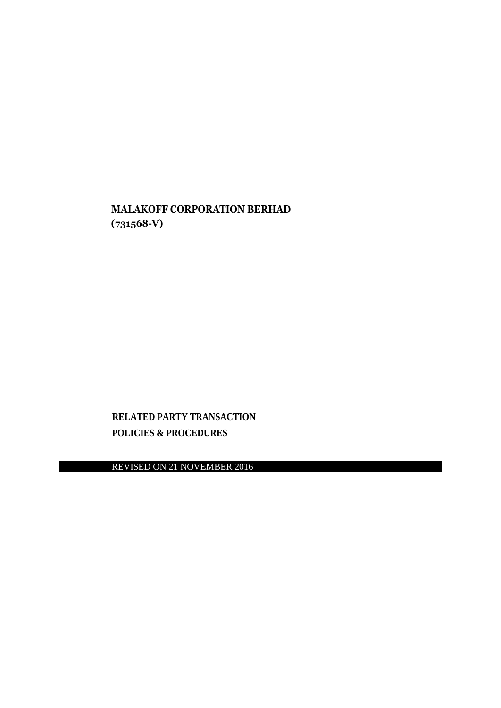**MALAKOFF CORPORATION BERHAD (731568-V)**

**RELATED PARTY TRANSACTION POLICIES & PROCEDURES**

REVISED ON 21 NOVEMBER 2016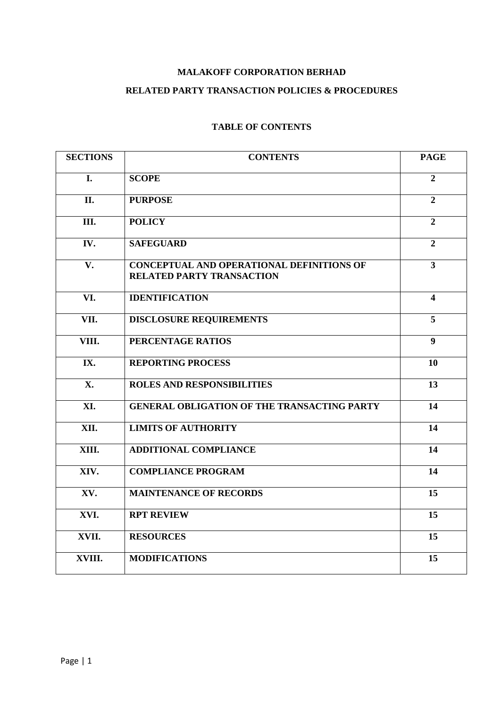## **MALAKOFF CORPORATION BERHAD**

# **RELATED PARTY TRANSACTION POLICIES & PROCEDURES**

## **TABLE OF CONTENTS**

| <b>SECTIONS</b> | <b>CONTENTS</b>                                                                      | <b>PAGE</b>             |
|-----------------|--------------------------------------------------------------------------------------|-------------------------|
| I.              | <b>SCOPE</b>                                                                         | $\overline{2}$          |
| II.             | <b>PURPOSE</b>                                                                       | $\overline{2}$          |
| III.            | <b>POLICY</b>                                                                        | $\overline{2}$          |
| IV.             | <b>SAFEGUARD</b>                                                                     | $\overline{2}$          |
| V.              | <b>CONCEPTUAL AND OPERATIONAL DEFINITIONS OF</b><br><b>RELATED PARTY TRANSACTION</b> | $\overline{\mathbf{3}}$ |
| VI.             | <b>IDENTIFICATION</b>                                                                | $\overline{\mathbf{4}}$ |
| VII.            | <b>DISCLOSURE REQUIREMENTS</b>                                                       | 5                       |
| VIII.           | PERCENTAGE RATIOS                                                                    | $\overline{9}$          |
| IX.             | <b>REPORTING PROCESS</b>                                                             | 10                      |
| X.              | <b>ROLES AND RESPONSIBILITIES</b>                                                    | 13                      |
| XI.             | <b>GENERAL OBLIGATION OF THE TRANSACTING PARTY</b>                                   | 14                      |
| XII.            | <b>LIMITS OF AUTHORITY</b>                                                           | 14                      |
| XIII.           | <b>ADDITIONAL COMPLIANCE</b>                                                         | 14                      |
| XIV.            | <b>COMPLIANCE PROGRAM</b>                                                            | 14                      |
| XV.             | <b>MAINTENANCE OF RECORDS</b>                                                        | 15                      |
| XVI.            | <b>RPT REVIEW</b>                                                                    | 15                      |
| XVII.           | <b>RESOURCES</b>                                                                     | 15                      |
| XVIII.          | <b>MODIFICATIONS</b>                                                                 | 15                      |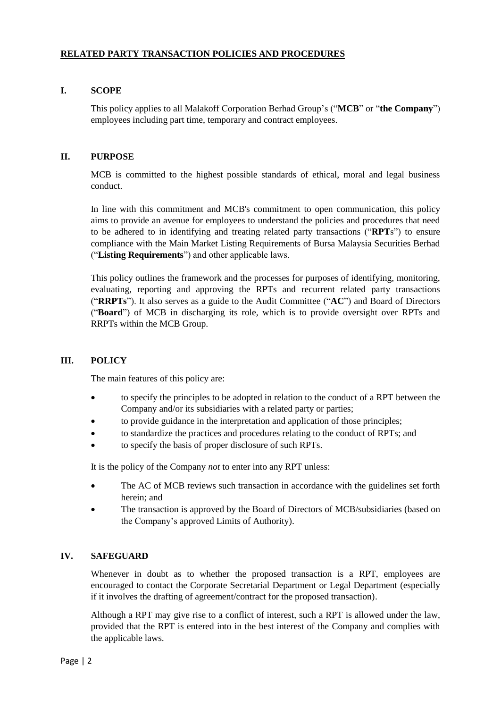## **RELATED PARTY TRANSACTION POLICIES AND PROCEDURES**

## **I. SCOPE**

This policy applies to all Malakoff Corporation Berhad Group's ("**MCB**" or "**the Company**") employees including part time, temporary and contract employees.

## **II. PURPOSE**

MCB is committed to the highest possible standards of ethical, moral and legal business conduct.

In line with this commitment and MCB's commitment to open communication, this policy aims to provide an avenue for employees to understand the policies and procedures that need to be adhered to in identifying and treating related party transactions ("**RPT**s") to ensure compliance with the Main Market Listing Requirements of Bursa Malaysia Securities Berhad ("**Listing Requirements**") and other applicable laws.

This policy outlines the framework and the processes for purposes of identifying, monitoring, evaluating, reporting and approving the RPTs and recurrent related party transactions ("**RRPTs**"). It also serves as a guide to the Audit Committee ("**AC**") and Board of Directors ("**Board**") of MCB in discharging its role, which is to provide oversight over RPTs and RRPTs within the MCB Group.

#### **III. POLICY**

The main features of this policy are:

- to specify the principles to be adopted in relation to the conduct of a RPT between the Company and/or its subsidiaries with a related party or parties;
- to provide guidance in the interpretation and application of those principles;
- to standardize the practices and procedures relating to the conduct of RPTs; and
- to specify the basis of proper disclosure of such RPTs.

It is the policy of the Company *not* to enter into any RPT unless:

- The AC of MCB reviews such transaction in accordance with the guidelines set forth herein; and
- The transaction is approved by the Board of Directors of MCB/subsidiaries (based on the Company's approved Limits of Authority).

## **IV. SAFEGUARD**

Whenever in doubt as to whether the proposed transaction is a RPT, employees are encouraged to contact the Corporate Secretarial Department or Legal Department (especially if it involves the drafting of agreement/contract for the proposed transaction).

Although a RPT may give rise to a conflict of interest, such a RPT is allowed under the law, provided that the RPT is entered into in the best interest of the Company and complies with the applicable laws.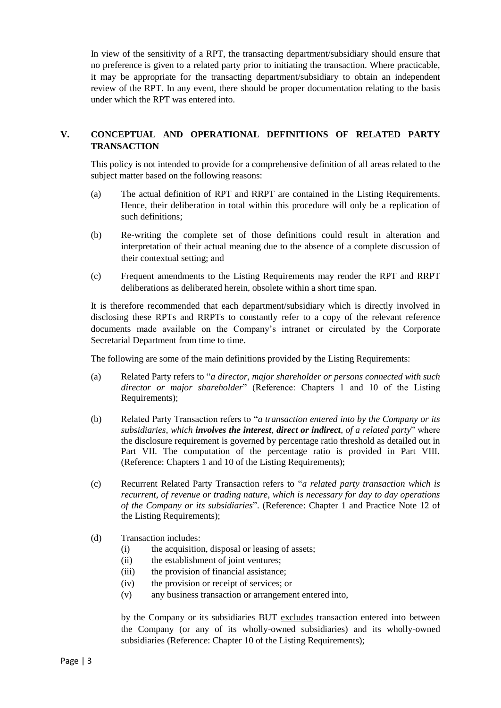In view of the sensitivity of a RPT, the transacting department/subsidiary should ensure that no preference is given to a related party prior to initiating the transaction. Where practicable, it may be appropriate for the transacting department/subsidiary to obtain an independent review of the RPT. In any event, there should be proper documentation relating to the basis under which the RPT was entered into.

## **V. CONCEPTUAL AND OPERATIONAL DEFINITIONS OF RELATED PARTY TRANSACTION**

This policy is not intended to provide for a comprehensive definition of all areas related to the subject matter based on the following reasons:

- (a) The actual definition of RPT and RRPT are contained in the Listing Requirements. Hence, their deliberation in total within this procedure will only be a replication of such definitions;
- (b) Re-writing the complete set of those definitions could result in alteration and interpretation of their actual meaning due to the absence of a complete discussion of their contextual setting; and
- (c) Frequent amendments to the Listing Requirements may render the RPT and RRPT deliberations as deliberated herein, obsolete within a short time span.

It is therefore recommended that each department/subsidiary which is directly involved in disclosing these RPTs and RRPTs to constantly refer to a copy of the relevant reference documents made available on the Company's intranet or circulated by the Corporate Secretarial Department from time to time.

The following are some of the main definitions provided by the Listing Requirements:

- (a) Related Party refers to "*a director, major shareholder or persons connected with such director or major shareholder*" (Reference: Chapters 1 and 10 of the Listing Requirements);
- (b) Related Party Transaction refers to "*a transaction entered into by the Company or its subsidiaries, which involves the interest, direct or indirect, of a related party*" where the disclosure requirement is governed by percentage ratio threshold as detailed out in Part VII. The computation of the percentage ratio is provided in Part VIII. (Reference: Chapters 1 and 10 of the Listing Requirements);
- (c) Recurrent Related Party Transaction refers to "*a related party transaction which is recurrent, of revenue or trading nature, which is necessary for day to day operations of the Company or its subsidiaries*". (Reference: Chapter 1 and Practice Note 12 of the Listing Requirements);
- (d) Transaction includes:
	- (i) the acquisition, disposal or leasing of assets;
	- (ii) the establishment of joint ventures;
	- (iii) the provision of financial assistance;
	- (iv) the provision or receipt of services; or
	- (v) any business transaction or arrangement entered into,

by the Company or its subsidiaries BUT excludes transaction entered into between the Company (or any of its wholly-owned subsidiaries) and its wholly-owned subsidiaries (Reference: Chapter 10 of the Listing Requirements);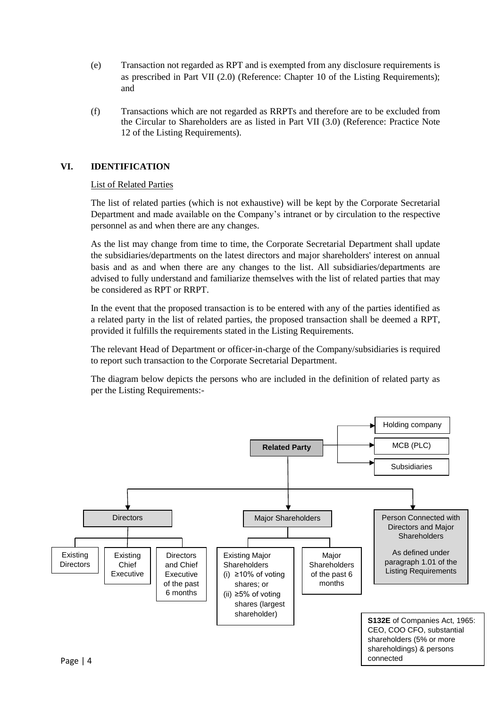- (e) Transaction not regarded as RPT and is exempted from any disclosure requirements is as prescribed in Part VII (2.0) (Reference: Chapter 10 of the Listing Requirements); and
- (f) Transactions which are not regarded as RRPTs and therefore are to be excluded from the Circular to Shareholders are as listed in Part VII (3.0) (Reference: Practice Note 12 of the Listing Requirements).

## **VI. IDENTIFICATION**

## List of Related Parties

The list of related parties (which is not exhaustive) will be kept by the Corporate Secretarial Department and made available on the Company's intranet or by circulation to the respective personnel as and when there are any changes.

As the list may change from time to time, the Corporate Secretarial Department shall update the subsidiaries/departments on the latest directors and major shareholders' interest on annual basis and as and when there are any changes to the list. All subsidiaries/departments are advised to fully understand and familiarize themselves with the list of related parties that may be considered as RPT or RRPT.

In the event that the proposed transaction is to be entered with any of the parties identified as a related party in the list of related parties, the proposed transaction shall be deemed a RPT, provided it fulfills the requirements stated in the Listing Requirements.

The relevant Head of Department or officer-in-charge of the Company/subsidiaries is required to report such transaction to the Corporate Secretarial Department.

The diagram below depicts the persons who are included in the definition of related party as per the Listing Requirements:-

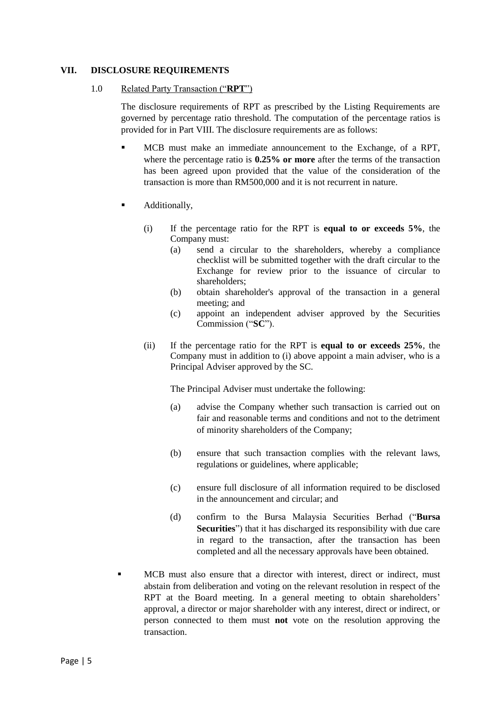#### **VII. DISCLOSURE REQUIREMENTS**

#### 1.0 Related Party Transaction ("**RPT**")

The disclosure requirements of RPT as prescribed by the Listing Requirements are governed by percentage ratio threshold. The computation of the percentage ratios is provided for in Part VIII. The disclosure requirements are as follows:

- MCB must make an immediate announcement to the Exchange, of a RPT, where the percentage ratio is **0.25% or more** after the terms of the transaction has been agreed upon provided that the value of the consideration of the transaction is more than RM500,000 and it is not recurrent in nature.
- **Additionally,** 
	- (i) If the percentage ratio for the RPT is **equal to or exceeds 5%**, the Company must:
		- (a) send a circular to the shareholders, whereby a compliance checklist will be submitted together with the draft circular to the Exchange for review prior to the issuance of circular to shareholders;
		- (b) obtain shareholder's approval of the transaction in a general meeting; and
		- (c) appoint an independent adviser approved by the Securities Commission ("**SC**").
	- (ii) If the percentage ratio for the RPT is **equal to or exceeds 25%**, the Company must in addition to (i) above appoint a main adviser, who is a Principal Adviser approved by the SC.

The Principal Adviser must undertake the following:

- (a) advise the Company whether such transaction is carried out on fair and reasonable terms and conditions and not to the detriment of minority shareholders of the Company;
- (b) ensure that such transaction complies with the relevant laws, regulations or guidelines, where applicable;
- (c) ensure full disclosure of all information required to be disclosed in the announcement and circular; and
- (d) confirm to the Bursa Malaysia Securities Berhad ("**Bursa Securities**") that it has discharged its responsibility with due care in regard to the transaction, after the transaction has been completed and all the necessary approvals have been obtained.
- MCB must also ensure that a director with interest, direct or indirect, must abstain from deliberation and voting on the relevant resolution in respect of the RPT at the Board meeting. In a general meeting to obtain shareholders' approval, a director or major shareholder with any interest, direct or indirect, or person connected to them must **not** vote on the resolution approving the transaction.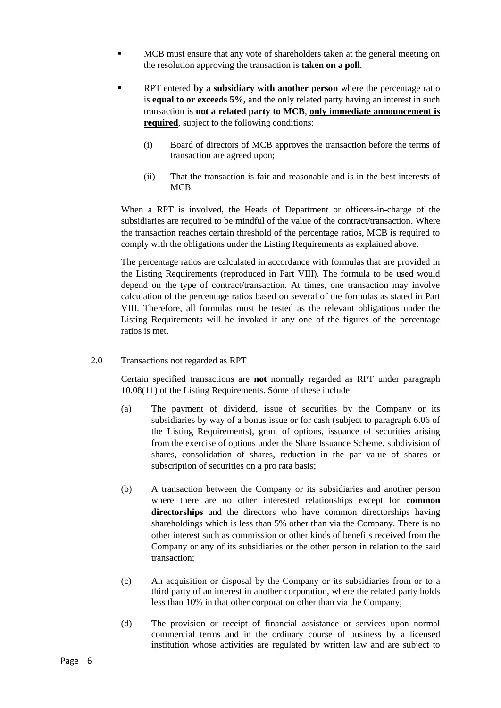- MCB must ensure that any vote of shareholders taken at the general meeting on the resolution approving the transaction is **taken on a poll**.
- RPT entered **by a subsidiary with another person** where the percentage ratio is **equal to or exceeds 5%,** and the only related party having an interest in such transaction is **not a related party to MCB**, **only immediate announcement is required**, subject to the following conditions:
	- (i) Board of directors of MCB approves the transaction before the terms of transaction are agreed upon;
	- (ii) That the transaction is fair and reasonable and is in the best interests of MCB.

When a RPT is involved, the Heads of Department or officers-in-charge of the subsidiaries are required to be mindful of the value of the contract/transaction. Where the transaction reaches certain threshold of the percentage ratios, MCB is required to comply with the obligations under the Listing Requirements as explained above.

The percentage ratios are calculated in accordance with formulas that are provided in the Listing Requirements (reproduced in Part VIII). The formula to be used would depend on the type of contract/transaction. At times, one transaction may involve calculation of the percentage ratios based on several of the formulas as stated in Part VIII. Therefore, all formulas must be tested as the relevant obligations under the Listing Requirements will be invoked if any one of the figures of the percentage ratios is met.

#### 2.0 Transactions not regarded as RPT

Certain specified transactions are **not** normally regarded as RPT under paragraph 10.08(11) of the Listing Requirements. Some of these include:

- (a) The payment of dividend, issue of securities by the Company or its subsidiaries by way of a bonus issue or for cash (subject to paragraph 6.06 of the Listing Requirements), grant of options, issuance of securities arising from the exercise of options under the Share Issuance Scheme, subdivision of shares, consolidation of shares, reduction in the par value of shares or subscription of securities on a pro rata basis;
- (b) A transaction between the Company or its subsidiaries and another person where there are no other interested relationships except for **common directorships** and the directors who have common directorships having shareholdings which is less than 5% other than via the Company. There is no other interest such as commission or other kinds of benefits received from the Company or any of its subsidiaries or the other person in relation to the said transaction;
- (c) An acquisition or disposal by the Company or its subsidiaries from or to a third party of an interest in another corporation, where the related party holds less than 10% in that other corporation other than via the Company;
- (d) The provision or receipt of financial assistance or services upon normal commercial terms and in the ordinary course of business by a licensed institution whose activities are regulated by written law and are subject to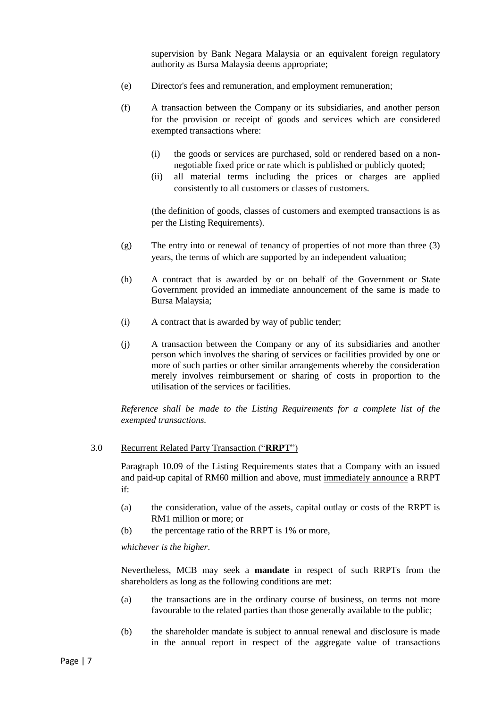supervision by Bank Negara Malaysia or an equivalent foreign regulatory authority as Bursa Malaysia deems appropriate;

- (e) Director's fees and remuneration, and employment remuneration;
- (f) A transaction between the Company or its subsidiaries, and another person for the provision or receipt of goods and services which are considered exempted transactions where:
	- (i) the goods or services are purchased, sold or rendered based on a nonnegotiable fixed price or rate which is published or publicly quoted;
	- (ii) all material terms including the prices or charges are applied consistently to all customers or classes of customers.

(the definition of goods, classes of customers and exempted transactions is as per the Listing Requirements).

- (g) The entry into or renewal of tenancy of properties of not more than three (3) years, the terms of which are supported by an independent valuation;
- (h) A contract that is awarded by or on behalf of the Government or State Government provided an immediate announcement of the same is made to Bursa Malaysia;
- (i) A contract that is awarded by way of public tender;
- (j) A transaction between the Company or any of its subsidiaries and another person which involves the sharing of services or facilities provided by one or more of such parties or other similar arrangements whereby the consideration merely involves reimbursement or sharing of costs in proportion to the utilisation of the services or facilities.

*Reference shall be made to the Listing Requirements for a complete list of the exempted transactions.*

#### 3.0 Recurrent Related Party Transaction ("**RRPT**")

Paragraph 10.09 of the Listing Requirements states that a Company with an issued and paid-up capital of RM60 million and above, must immediately announce a RRPT if:

- (a) the consideration, value of the assets, capital outlay or costs of the RRPT is RM1 million or more; or
- (b) the percentage ratio of the RRPT is 1% or more,

*whichever is the higher*.

Nevertheless, MCB may seek a **mandate** in respect of such RRPTs from the shareholders as long as the following conditions are met:

- (a) the transactions are in the ordinary course of business, on terms not more favourable to the related parties than those generally available to the public;
- (b) the shareholder mandate is subject to annual renewal and disclosure is made in the annual report in respect of the aggregate value of transactions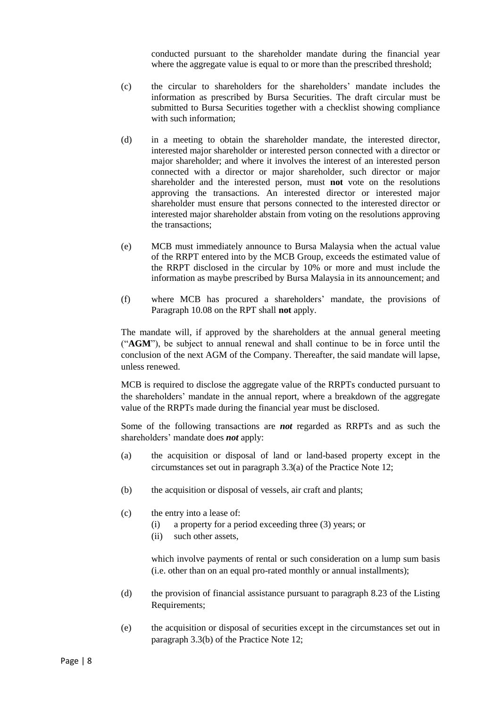conducted pursuant to the shareholder mandate during the financial year where the aggregate value is equal to or more than the prescribed threshold;

- (c) the circular to shareholders for the shareholders' mandate includes the information as prescribed by Bursa Securities. The draft circular must be submitted to Bursa Securities together with a checklist showing compliance with such information;
- (d) in a meeting to obtain the shareholder mandate, the interested director, interested major shareholder or interested person connected with a director or major shareholder; and where it involves the interest of an interested person connected with a director or major shareholder, such director or major shareholder and the interested person, must **not** vote on the resolutions approving the transactions. An interested director or interested major shareholder must ensure that persons connected to the interested director or interested major shareholder abstain from voting on the resolutions approving the transactions;
- (e) MCB must immediately announce to Bursa Malaysia when the actual value of the RRPT entered into by the MCB Group, exceeds the estimated value of the RRPT disclosed in the circular by 10% or more and must include the information as maybe prescribed by Bursa Malaysia in its announcement; and
- (f) where MCB has procured a shareholders' mandate, the provisions of Paragraph 10.08 on the RPT shall **not** apply.

The mandate will, if approved by the shareholders at the annual general meeting ("**AGM**"), be subject to annual renewal and shall continue to be in force until the conclusion of the next AGM of the Company. Thereafter, the said mandate will lapse, unless renewed.

MCB is required to disclose the aggregate value of the RRPTs conducted pursuant to the shareholders' mandate in the annual report, where a breakdown of the aggregate value of the RRPTs made during the financial year must be disclosed.

Some of the following transactions are *not* regarded as RRPTs and as such the shareholders' mandate does *not* apply:

- (a) the acquisition or disposal of land or land-based property except in the circumstances set out in paragraph 3.3(a) of the Practice Note 12;
- (b) the acquisition or disposal of vessels, air craft and plants;
- (c) the entry into a lease of:
	- (i) a property for a period exceeding three (3) years; or
	- (ii) such other assets,

which involve payments of rental or such consideration on a lump sum basis (i.e. other than on an equal pro-rated monthly or annual installments);

- (d) the provision of financial assistance pursuant to paragraph 8.23 of the Listing Requirements;
- (e) the acquisition or disposal of securities except in the circumstances set out in paragraph 3.3(b) of the Practice Note 12;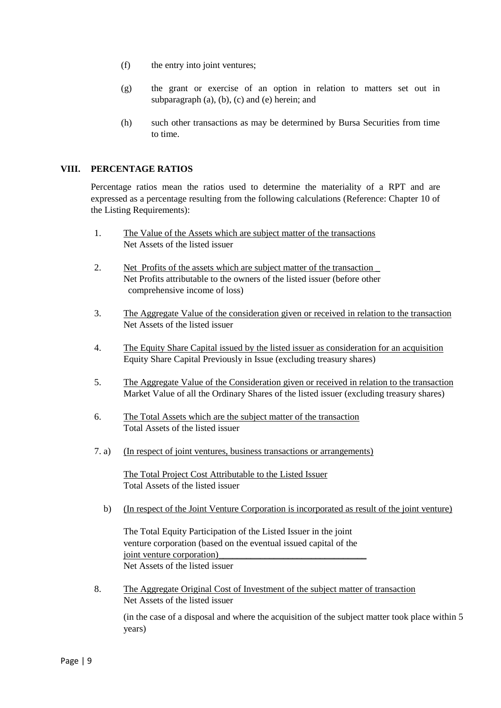- (f) the entry into joint ventures;
- (g) the grant or exercise of an option in relation to matters set out in subparagraph  $(a)$ ,  $(b)$ ,  $(c)$  and  $(e)$  herein; and
- (h) such other transactions as may be determined by Bursa Securities from time to time.

#### **VIII. PERCENTAGE RATIOS**

Percentage ratios mean the ratios used to determine the materiality of a RPT and are expressed as a percentage resulting from the following calculations (Reference: Chapter 10 of the Listing Requirements):

- 1. The Value of the Assets which are subject matter of the transactions Net Assets of the listed issuer
- 2. Net Profits of the assets which are subject matter of the transaction \_ Net Profits attributable to the owners of the listed issuer (before other comprehensive income of loss)
- 3. The Aggregate Value of the consideration given or received in relation to the transaction Net Assets of the listed issuer
- 4. The Equity Share Capital issued by the listed issuer as consideration for an acquisition Equity Share Capital Previously in Issue (excluding treasury shares)
- 5. The Aggregate Value of the Consideration given or received in relation to the transaction Market Value of all the Ordinary Shares of the listed issuer (excluding treasury shares)
- 6. The Total Assets which are the subject matter of the transaction Total Assets of the listed issuer
- 7. a) (In respect of joint ventures, business transactions or arrangements)

The Total Project Cost Attributable to the Listed Issuer Total Assets of the listed issuer

b) (In respect of the Joint Venture Corporation is incorporated as result of the joint venture)

The Total Equity Participation of the Listed Issuer in the joint venture corporation (based on the eventual issued capital of the joint venture corporation) Net Assets of the listed issuer

8. The Aggregate Original Cost of Investment of the subject matter of transaction Net Assets of the listed issuer

(in the case of a disposal and where the acquisition of the subject matter took place within 5 years)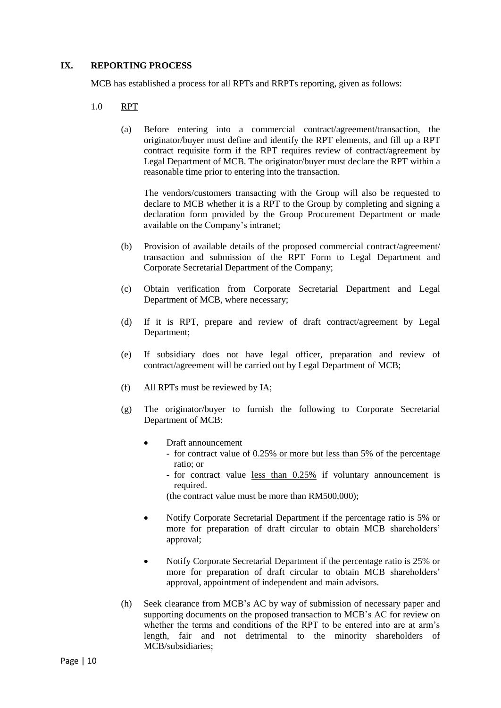### **IX. REPORTING PROCESS**

MCB has established a process for all RPTs and RRPTs reporting, given as follows:

- 1.0 RPT
	- (a) Before entering into a commercial contract/agreement/transaction, the originator/buyer must define and identify the RPT elements, and fill up a RPT contract requisite form if the RPT requires review of contract/agreement by Legal Department of MCB. The originator/buyer must declare the RPT within a reasonable time prior to entering into the transaction.

The vendors/customers transacting with the Group will also be requested to declare to MCB whether it is a RPT to the Group by completing and signing a declaration form provided by the Group Procurement Department or made available on the Company's intranet;

- (b) Provision of available details of the proposed commercial contract/agreement/ transaction and submission of the RPT Form to Legal Department and Corporate Secretarial Department of the Company;
- (c) Obtain verification from Corporate Secretarial Department and Legal Department of MCB, where necessary;
- (d) If it is RPT, prepare and review of draft contract/agreement by Legal Department;
- (e) If subsidiary does not have legal officer, preparation and review of contract/agreement will be carried out by Legal Department of MCB;
- (f) All RPTs must be reviewed by IA;
- (g) The originator/buyer to furnish the following to Corporate Secretarial Department of MCB:
	- Draft announcement
		- for contract value of 0.25% or more but less than 5% of the percentage ratio; or
		- for contract value less than 0.25% if voluntary announcement is required.

(the contract value must be more than RM500,000);

- Notify Corporate Secretarial Department if the percentage ratio is 5% or more for preparation of draft circular to obtain MCB shareholders' approval;
- Notify Corporate Secretarial Department if the percentage ratio is 25% or more for preparation of draft circular to obtain MCB shareholders' approval, appointment of independent and main advisors.
- (h) Seek clearance from MCB's AC by way of submission of necessary paper and supporting documents on the proposed transaction to MCB's AC for review on whether the terms and conditions of the RPT to be entered into are at arm's length, fair and not detrimental to the minority shareholders of MCB/subsidiaries;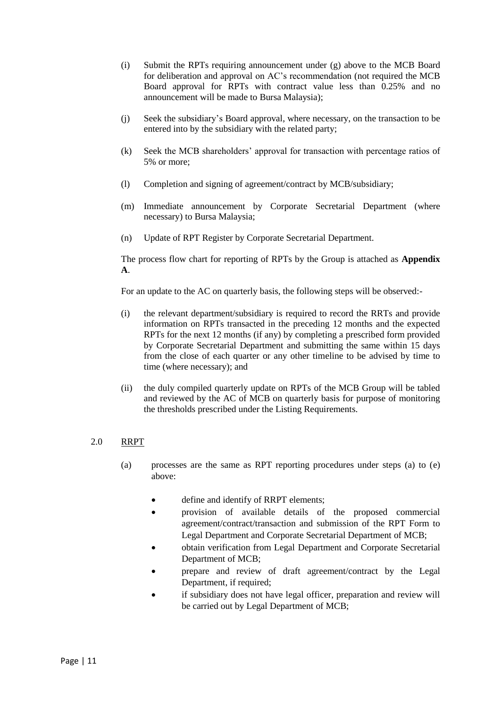- (i) Submit the RPTs requiring announcement under (g) above to the MCB Board for deliberation and approval on AC's recommendation (not required the MCB Board approval for RPTs with contract value less than 0.25% and no announcement will be made to Bursa Malaysia);
- (j) Seek the subsidiary's Board approval, where necessary, on the transaction to be entered into by the subsidiary with the related party;
- (k) Seek the MCB shareholders' approval for transaction with percentage ratios of 5% or more;
- (l) Completion and signing of agreement/contract by MCB/subsidiary;
- (m) Immediate announcement by Corporate Secretarial Department (where necessary) to Bursa Malaysia;
- (n) Update of RPT Register by Corporate Secretarial Department.

The process flow chart for reporting of RPTs by the Group is attached as **Appendix A**.

For an update to the AC on quarterly basis, the following steps will be observed:-

- (i) the relevant department/subsidiary is required to record the RRTs and provide information on RPTs transacted in the preceding 12 months and the expected RPTs for the next 12 months (if any) by completing a prescribed form provided by Corporate Secretarial Department and submitting the same within 15 days from the close of each quarter or any other timeline to be advised by time to time (where necessary); and
- (ii) the duly compiled quarterly update on RPTs of the MCB Group will be tabled and reviewed by the AC of MCB on quarterly basis for purpose of monitoring the thresholds prescribed under the Listing Requirements.

#### 2.0 RRPT

- (a) processes are the same as RPT reporting procedures under steps (a) to (e) above:
	- define and identify of RRPT elements;
	- provision of available details of the proposed commercial agreement/contract/transaction and submission of the RPT Form to Legal Department and Corporate Secretarial Department of MCB;
	- obtain verification from Legal Department and Corporate Secretarial Department of MCB;
	- prepare and review of draft agreement/contract by the Legal Department, if required;
	- if subsidiary does not have legal officer, preparation and review will be carried out by Legal Department of MCB;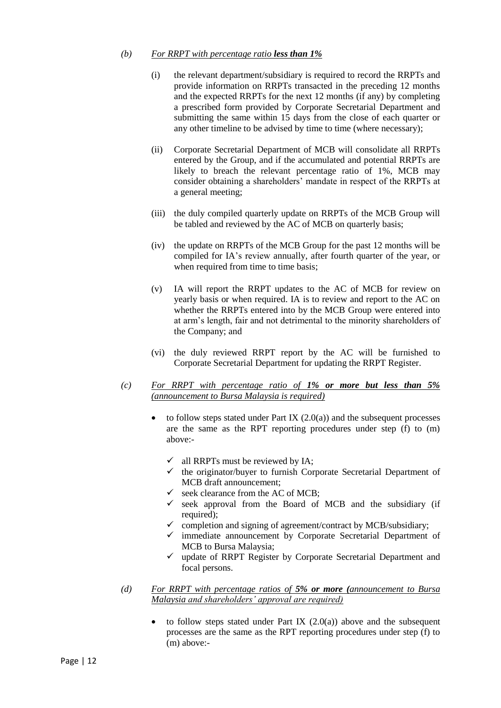### *(b) For RRPT with percentage ratio less than 1%*

- (i) the relevant department/subsidiary is required to record the RRPTs and provide information on RRPTs transacted in the preceding 12 months and the expected RRPTs for the next 12 months (if any) by completing a prescribed form provided by Corporate Secretarial Department and submitting the same within 15 days from the close of each quarter or any other timeline to be advised by time to time (where necessary);
- (ii) Corporate Secretarial Department of MCB will consolidate all RRPTs entered by the Group, and if the accumulated and potential RRPTs are likely to breach the relevant percentage ratio of 1%, MCB may consider obtaining a shareholders' mandate in respect of the RRPTs at a general meeting;
- (iii) the duly compiled quarterly update on RRPTs of the MCB Group will be tabled and reviewed by the AC of MCB on quarterly basis;
- (iv) the update on RRPTs of the MCB Group for the past 12 months will be compiled for IA's review annually, after fourth quarter of the year, or when required from time to time basis;
- (v) IA will report the RRPT updates to the AC of MCB for review on yearly basis or when required. IA is to review and report to the AC on whether the RRPTs entered into by the MCB Group were entered into at arm's length, fair and not detrimental to the minority shareholders of the Company; and
- (vi) the duly reviewed RRPT report by the AC will be furnished to Corporate Secretarial Department for updating the RRPT Register.
- *(c) For RRPT with percentage ratio of 1% or more but less than 5% (announcement to Bursa Malaysia is required)*
	- to follow steps stated under Part IX  $(2.0(a))$  and the subsequent processes are the same as the RPT reporting procedures under step (f) to (m) above:-
		- $\checkmark$  all RRPTs must be reviewed by IA;
		- $\checkmark$  the originator/buyer to furnish Corporate Secretarial Department of MCB draft announcement;
		- $\checkmark$  seek clearance from the AC of MCB:
		- $\checkmark$  seek approval from the Board of MCB and the subsidiary (if required);
		- $\checkmark$  completion and signing of agreement/contract by MCB/subsidiary;
		- $\checkmark$  immediate announcement by Corporate Secretarial Department of MCB to Bursa Malaysia;
		- $\checkmark$  update of RRPT Register by Corporate Secretarial Department and focal persons.
- *(d) For RRPT with percentage ratios of 5% or more (announcement to Bursa Malaysia and shareholders' approval are required)*
	- to follow steps stated under Part IX  $(2.0(a))$  above and the subsequent processes are the same as the RPT reporting procedures under step (f) to (m) above:-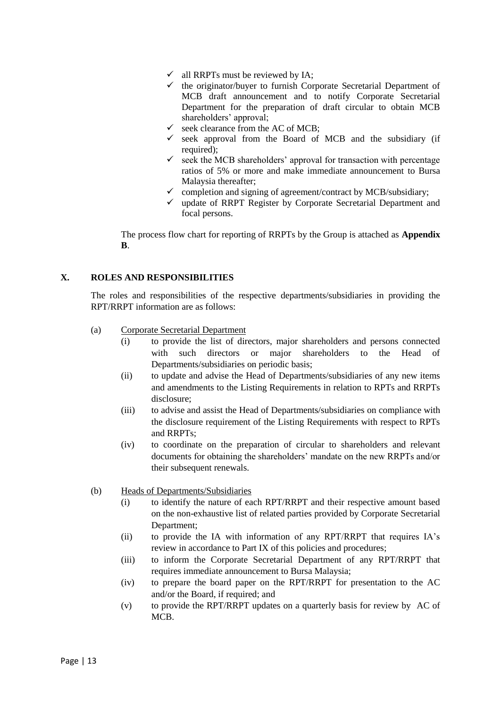- $\checkmark$  all RRPTs must be reviewed by IA;
- $\checkmark$  the originator/buyer to furnish Corporate Secretarial Department of MCB draft announcement and to notify Corporate Secretarial Department for the preparation of draft circular to obtain MCB shareholders' approval;
- $\checkmark$  seek clearance from the AC of MCB;
- $\checkmark$  seek approval from the Board of MCB and the subsidiary (if required);
- $\checkmark$  seek the MCB shareholders' approval for transaction with percentage ratios of 5% or more and make immediate announcement to Bursa Malaysia thereafter;
- $\checkmark$  completion and signing of agreement/contract by MCB/subsidiary;
- $\checkmark$  update of RRPT Register by Corporate Secretarial Department and focal persons.

The process flow chart for reporting of RRPTs by the Group is attached as **Appendix B**.

#### **X. ROLES AND RESPONSIBILITIES**

The roles and responsibilities of the respective departments/subsidiaries in providing the RPT/RRPT information are as follows:

- (a) Corporate Secretarial Department
	- (i) to provide the list of directors, major shareholders and persons connected with such directors or major shareholders to the Head of Departments/subsidiaries on periodic basis;
	- (ii) to update and advise the Head of Departments/subsidiaries of any new items and amendments to the Listing Requirements in relation to RPTs and RRPTs disclosure;
	- (iii) to advise and assist the Head of Departments/subsidiaries on compliance with the disclosure requirement of the Listing Requirements with respect to RPTs and RRPTs;
	- (iv) to coordinate on the preparation of circular to shareholders and relevant documents for obtaining the shareholders' mandate on the new RRPTs and/or their subsequent renewals.
- (b) Heads of Departments/Subsidiaries
	- (i) to identify the nature of each RPT/RRPT and their respective amount based on the non-exhaustive list of related parties provided by Corporate Secretarial Department;
	- (ii) to provide the IA with information of any RPT/RRPT that requires IA's review in accordance to Part IX of this policies and procedures;
	- (iii) to inform the Corporate Secretarial Department of any RPT/RRPT that requires immediate announcement to Bursa Malaysia;
	- (iv) to prepare the board paper on the RPT/RRPT for presentation to the AC and/or the Board, if required; and
	- (v) to provide the RPT/RRPT updates on a quarterly basis for review by AC of MCB.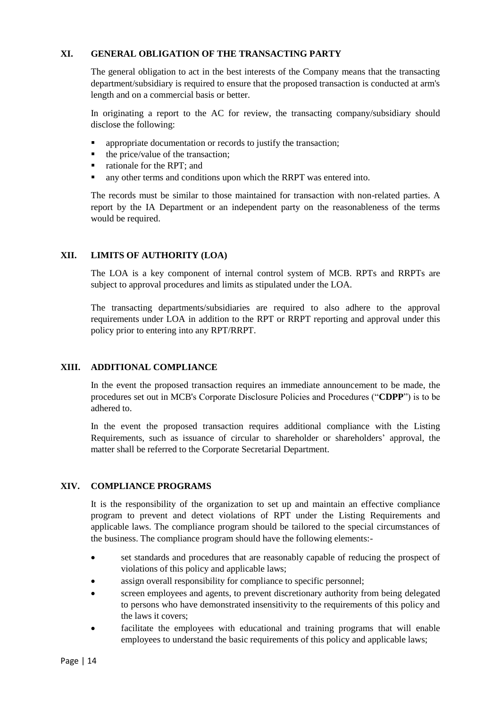## **XI. GENERAL OBLIGATION OF THE TRANSACTING PARTY**

The general obligation to act in the best interests of the Company means that the transacting department/subsidiary is required to ensure that the proposed transaction is conducted at arm's length and on a commercial basis or better.

In originating a report to the AC for review, the transacting company/subsidiary should disclose the following:

- appropriate documentation or records to justify the transaction;
- $\blacksquare$  the price/value of the transaction;
- rationale for the RPT; and
- any other terms and conditions upon which the RRPT was entered into.

The records must be similar to those maintained for transaction with non-related parties. A report by the IA Department or an independent party on the reasonableness of the terms would be required.

## **XII. LIMITS OF AUTHORITY (LOA)**

The LOA is a key component of internal control system of MCB. RPTs and RRPTs are subject to approval procedures and limits as stipulated under the LOA.

The transacting departments/subsidiaries are required to also adhere to the approval requirements under LOA in addition to the RPT or RRPT reporting and approval under this policy prior to entering into any RPT/RRPT.

#### **XIII. ADDITIONAL COMPLIANCE**

In the event the proposed transaction requires an immediate announcement to be made, the procedures set out in MCB's Corporate Disclosure Policies and Procedures ("**CDPP**") is to be adhered to.

In the event the proposed transaction requires additional compliance with the Listing Requirements, such as issuance of circular to shareholder or shareholders' approval, the matter shall be referred to the Corporate Secretarial Department.

## **XIV. COMPLIANCE PROGRAMS**

It is the responsibility of the organization to set up and maintain an effective compliance program to prevent and detect violations of RPT under the Listing Requirements and applicable laws. The compliance program should be tailored to the special circumstances of the business. The compliance program should have the following elements:-

- set standards and procedures that are reasonably capable of reducing the prospect of violations of this policy and applicable laws;
- assign overall responsibility for compliance to specific personnel;
- screen employees and agents, to prevent discretionary authority from being delegated to persons who have demonstrated insensitivity to the requirements of this policy and the laws it covers;
- facilitate the employees with educational and training programs that will enable employees to understand the basic requirements of this policy and applicable laws;